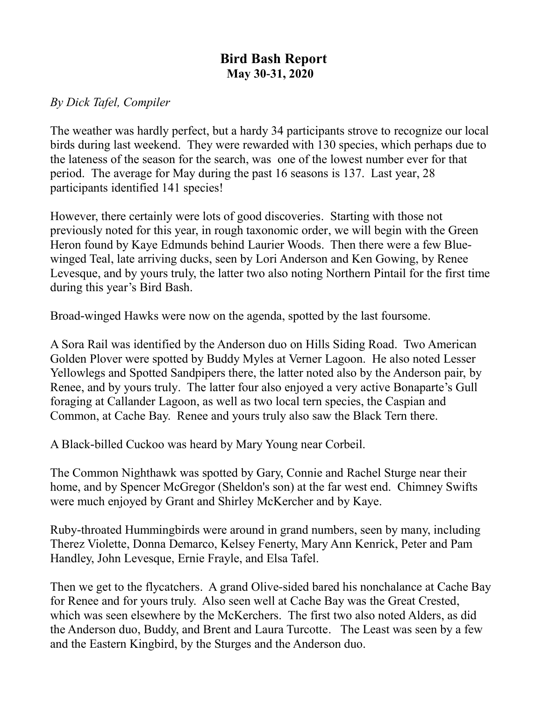## **Bird Bash Report May 30-31, 2020**

## *By Dick Tafel, Compiler*

The weather was hardly perfect, but a hardy 34 participants strove to recognize our local birds during last weekend. They were rewarded with 130 species, which perhaps due to the lateness of the season for the search, was one of the lowest number ever for that period. The average for May during the past 16 seasons is 137. Last year, 28 participants identified 141 species!

However, there certainly were lots of good discoveries. Starting with those not previously noted for this year, in rough taxonomic order, we will begin with the Green Heron found by Kaye Edmunds behind Laurier Woods. Then there were a few Bluewinged Teal, late arriving ducks, seen by Lori Anderson and Ken Gowing, by Renee Levesque, and by yours truly, the latter two also noting Northern Pintail for the first time during this year's Bird Bash.

Broad-winged Hawks were now on the agenda, spotted by the last foursome.

A Sora Rail was identified by the Anderson duo on Hills Siding Road. Two American Golden Plover were spotted by Buddy Myles at Verner Lagoon. He also noted Lesser Yellowlegs and Spotted Sandpipers there, the latter noted also by the Anderson pair, by Renee, and by yours truly. The latter four also enjoyed a very active Bonaparte's Gull foraging at Callander Lagoon, as well as two local tern species, the Caspian and Common, at Cache Bay. Renee and yours truly also saw the Black Tern there.

A Black-billed Cuckoo was heard by Mary Young near Corbeil.

The Common Nighthawk was spotted by Gary, Connie and Rachel Sturge near their home, and by Spencer McGregor (Sheldon's son) at the far west end. Chimney Swifts were much enjoyed by Grant and Shirley McKercher and by Kaye.

Ruby-throated Hummingbirds were around in grand numbers, seen by many, including Therez Violette, Donna Demarco, Kelsey Fenerty, Mary Ann Kenrick, Peter and Pam Handley, John Levesque, Ernie Frayle, and Elsa Tafel.

Then we get to the flycatchers. A grand Olive-sided bared his nonchalance at Cache Bay for Renee and for yours truly. Also seen well at Cache Bay was the Great Crested, which was seen elsewhere by the McKerchers. The first two also noted Alders, as did the Anderson duo, Buddy, and Brent and Laura Turcotte. The Least was seen by a few and the Eastern Kingbird, by the Sturges and the Anderson duo.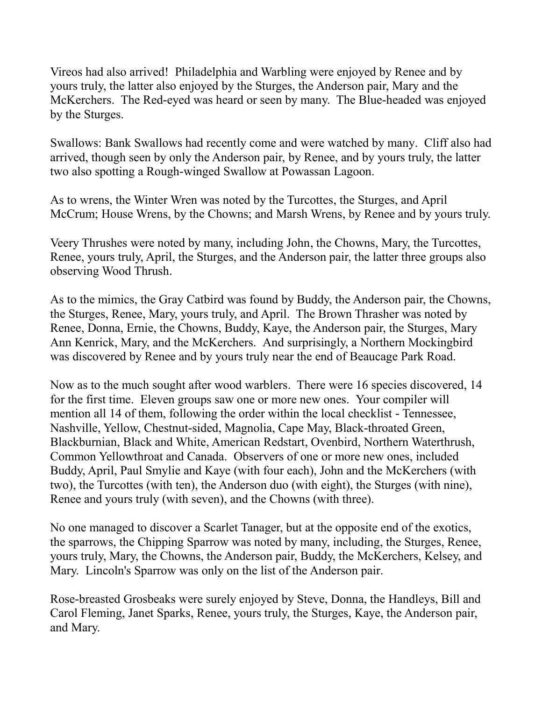Vireos had also arrived! Philadelphia and Warbling were enjoyed by Renee and by yours truly, the latter also enjoyed by the Sturges, the Anderson pair, Mary and the McKerchers. The Red-eyed was heard or seen by many. The Blue-headed was enjoyed by the Sturges.

Swallows: Bank Swallows had recently come and were watched by many. Cliff also had arrived, though seen by only the Anderson pair, by Renee, and by yours truly, the latter two also spotting a Rough-winged Swallow at Powassan Lagoon.

As to wrens, the Winter Wren was noted by the Turcottes, the Sturges, and April McCrum; House Wrens, by the Chowns; and Marsh Wrens, by Renee and by yours truly.

Veery Thrushes were noted by many, including John, the Chowns, Mary, the Turcottes, Renee, yours truly, April, the Sturges, and the Anderson pair, the latter three groups also observing Wood Thrush.

As to the mimics, the Gray Catbird was found by Buddy, the Anderson pair, the Chowns, the Sturges, Renee, Mary, yours truly, and April. The Brown Thrasher was noted by Renee, Donna, Ernie, the Chowns, Buddy, Kaye, the Anderson pair, the Sturges, Mary Ann Kenrick, Mary, and the McKerchers. And surprisingly, a Northern Mockingbird was discovered by Renee and by yours truly near the end of Beaucage Park Road.

Now as to the much sought after wood warblers. There were 16 species discovered, 14 for the first time. Eleven groups saw one or more new ones. Your compiler will mention all 14 of them, following the order within the local checklist - Tennessee, Nashville, Yellow, Chestnut-sided, Magnolia, Cape May, Black-throated Green, Blackburnian, Black and White, American Redstart, Ovenbird, Northern Waterthrush, Common Yellowthroat and Canada. Observers of one or more new ones, included Buddy, April, Paul Smylie and Kaye (with four each), John and the McKerchers (with two), the Turcottes (with ten), the Anderson duo (with eight), the Sturges (with nine), Renee and yours truly (with seven), and the Chowns (with three).

No one managed to discover a Scarlet Tanager, but at the opposite end of the exotics, the sparrows, the Chipping Sparrow was noted by many, including, the Sturges, Renee, yours truly, Mary, the Chowns, the Anderson pair, Buddy, the McKerchers, Kelsey, and Mary. Lincoln's Sparrow was only on the list of the Anderson pair.

Rose-breasted Grosbeaks were surely enjoyed by Steve, Donna, the Handleys, Bill and Carol Fleming, Janet Sparks, Renee, yours truly, the Sturges, Kaye, the Anderson pair, and Mary.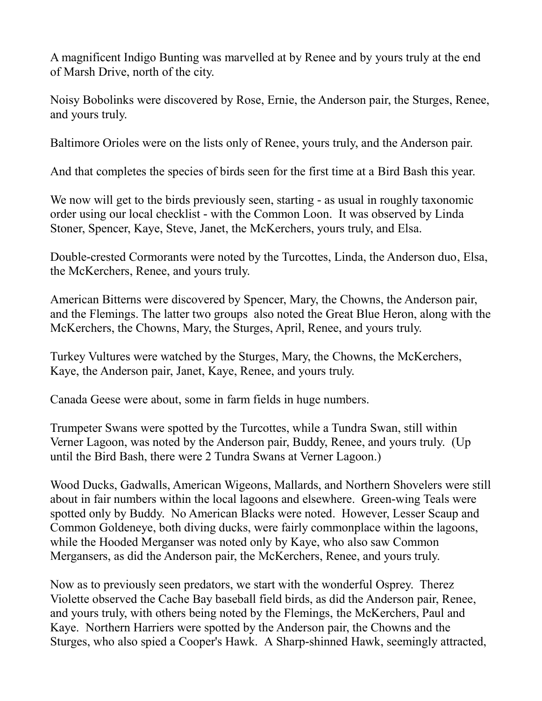A magnificent Indigo Bunting was marvelled at by Renee and by yours truly at the end of Marsh Drive, north of the city.

Noisy Bobolinks were discovered by Rose, Ernie, the Anderson pair, the Sturges, Renee, and yours truly.

Baltimore Orioles were on the lists only of Renee, yours truly, and the Anderson pair.

And that completes the species of birds seen for the first time at a Bird Bash this year.

We now will get to the birds previously seen, starting - as usual in roughly taxonomic order using our local checklist - with the Common Loon. It was observed by Linda Stoner, Spencer, Kaye, Steve, Janet, the McKerchers, yours truly, and Elsa.

Double-crested Cormorants were noted by the Turcottes, Linda, the Anderson duo, Elsa, the McKerchers, Renee, and yours truly.

American Bitterns were discovered by Spencer, Mary, the Chowns, the Anderson pair, and the Flemings. The latter two groups also noted the Great Blue Heron, along with the McKerchers, the Chowns, Mary, the Sturges, April, Renee, and yours truly.

Turkey Vultures were watched by the Sturges, Mary, the Chowns, the McKerchers, Kaye, the Anderson pair, Janet, Kaye, Renee, and yours truly.

Canada Geese were about, some in farm fields in huge numbers.

Trumpeter Swans were spotted by the Turcottes, while a Tundra Swan, still within Verner Lagoon, was noted by the Anderson pair, Buddy, Renee, and yours truly. (Up until the Bird Bash, there were 2 Tundra Swans at Verner Lagoon.)

Wood Ducks, Gadwalls, American Wigeons, Mallards, and Northern Shovelers were still about in fair numbers within the local lagoons and elsewhere. Green-wing Teals were spotted only by Buddy. No American Blacks were noted. However, Lesser Scaup and Common Goldeneye, both diving ducks, were fairly commonplace within the lagoons, while the Hooded Merganser was noted only by Kaye, who also saw Common Mergansers, as did the Anderson pair, the McKerchers, Renee, and yours truly.

Now as to previously seen predators, we start with the wonderful Osprey. Therez Violette observed the Cache Bay baseball field birds, as did the Anderson pair, Renee, and yours truly, with others being noted by the Flemings, the McKerchers, Paul and Kaye. Northern Harriers were spotted by the Anderson pair, the Chowns and the Sturges, who also spied a Cooper's Hawk. A Sharp-shinned Hawk, seemingly attracted,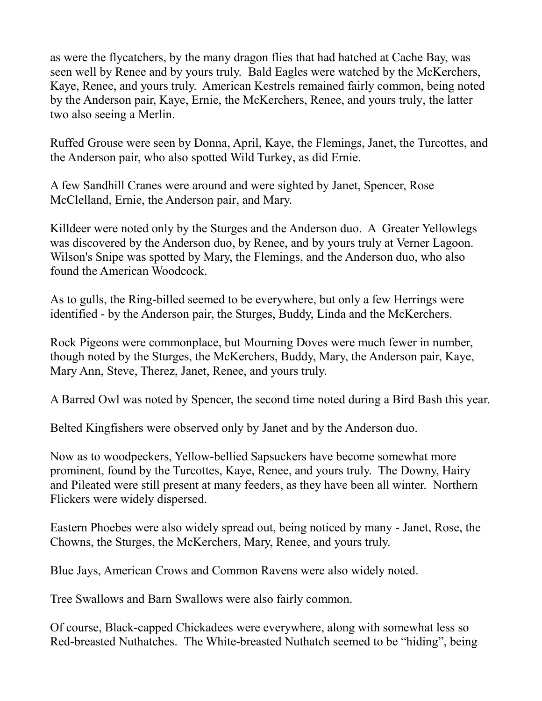as were the flycatchers, by the many dragon flies that had hatched at Cache Bay, was seen well by Renee and by yours truly. Bald Eagles were watched by the McKerchers, Kaye, Renee, and yours truly. American Kestrels remained fairly common, being noted by the Anderson pair, Kaye, Ernie, the McKerchers, Renee, and yours truly, the latter two also seeing a Merlin.

Ruffed Grouse were seen by Donna, April, Kaye, the Flemings, Janet, the Turcottes, and the Anderson pair, who also spotted Wild Turkey, as did Ernie.

A few Sandhill Cranes were around and were sighted by Janet, Spencer, Rose McClelland, Ernie, the Anderson pair, and Mary.

Killdeer were noted only by the Sturges and the Anderson duo. A Greater Yellowlegs was discovered by the Anderson duo, by Renee, and by yours truly at Verner Lagoon. Wilson's Snipe was spotted by Mary, the Flemings, and the Anderson duo, who also found the American Woodcock.

As to gulls, the Ring-billed seemed to be everywhere, but only a few Herrings were identified - by the Anderson pair, the Sturges, Buddy, Linda and the McKerchers.

Rock Pigeons were commonplace, but Mourning Doves were much fewer in number, though noted by the Sturges, the McKerchers, Buddy, Mary, the Anderson pair, Kaye, Mary Ann, Steve, Therez, Janet, Renee, and yours truly.

A Barred Owl was noted by Spencer, the second time noted during a Bird Bash this year.

Belted Kingfishers were observed only by Janet and by the Anderson duo.

Now as to woodpeckers, Yellow-bellied Sapsuckers have become somewhat more prominent, found by the Turcottes, Kaye, Renee, and yours truly. The Downy, Hairy and Pileated were still present at many feeders, as they have been all winter. Northern Flickers were widely dispersed.

Eastern Phoebes were also widely spread out, being noticed by many - Janet, Rose, the Chowns, the Sturges, the McKerchers, Mary, Renee, and yours truly.

Blue Jays, American Crows and Common Ravens were also widely noted.

Tree Swallows and Barn Swallows were also fairly common.

Of course, Black-capped Chickadees were everywhere, along with somewhat less so Red-breasted Nuthatches. The White-breasted Nuthatch seemed to be "hiding", being